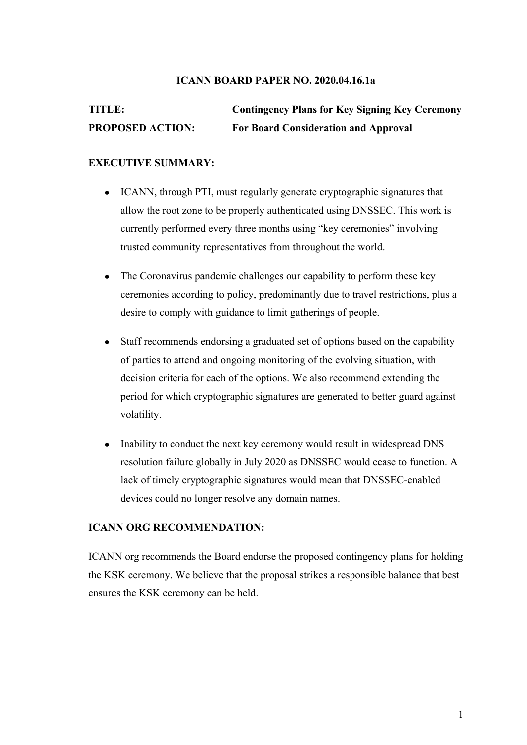## **ICANN BOARD PAPER NO. 2020.04.16.1a**

# **TITLE: Contingency Plans for Key Signing Key Ceremony PROPOSED ACTION: For Board Consideration and Approval**

## **EXECUTIVE SUMMARY:**

- ICANN, through PTI, must regularly generate cryptographic signatures that allow the root zone to be properly authenticated using DNSSEC. This work is currently performed every three months using "key ceremonies" involving trusted community representatives from throughout the world.
- The Coronavirus pandemic challenges our capability to perform these key ceremonies according to policy, predominantly due to travel restrictions, plus a desire to comply with guidance to limit gatherings of people.
- Staff recommends endorsing a graduated set of options based on the capability of parties to attend and ongoing monitoring of the evolving situation, with decision criteria for each of the options. We also recommend extending the period for which cryptographic signatures are generated to better guard against volatility.
- Inability to conduct the next key ceremony would result in widespread DNS resolution failure globally in July 2020 as DNSSEC would cease to function. A lack of timely cryptographic signatures would mean that DNSSEC-enabled devices could no longer resolve any domain names.

## **ICANN ORG RECOMMENDATION:**

ICANN org recommends the Board endorse the proposed contingency plans for holding the KSK ceremony. We believe that the proposal strikes a responsible balance that best ensures the KSK ceremony can be held.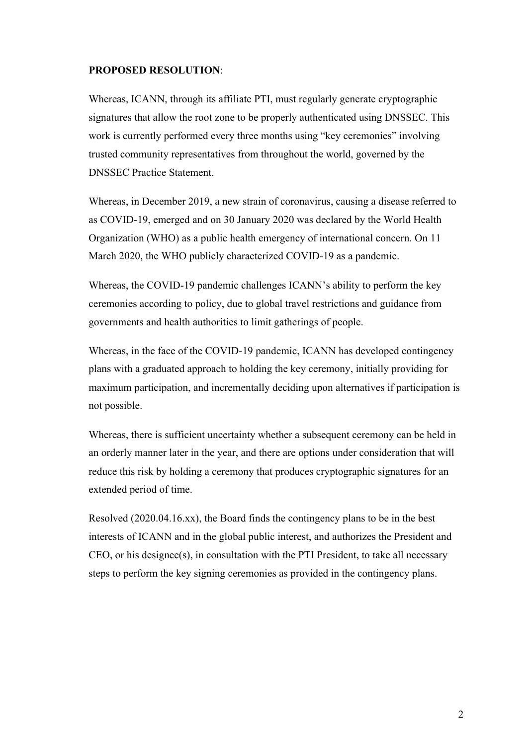### **PROPOSED RESOLUTION**:

Whereas, ICANN, through its affiliate PTI, must regularly generate cryptographic signatures that allow the root zone to be properly authenticated using DNSSEC. This work is currently performed every three months using "key ceremonies" involving trusted community representatives from throughout the world, governed by the DNSSEC Practice Statement.

Whereas, in December 2019, a new strain of coronavirus, causing a disease referred to as COVID-19, emerged and on 30 January 2020 was declared by the World Health Organization (WHO) as a public health emergency of international concern. On 11 March 2020, the WHO publicly characterized COVID-19 as a pandemic.

Whereas, the COVID-19 pandemic challenges ICANN's ability to perform the key ceremonies according to policy, due to global travel restrictions and guidance from governments and health authorities to limit gatherings of people.

Whereas, in the face of the COVID-19 pandemic, ICANN has developed contingency plans with a graduated approach to holding the key ceremony, initially providing for maximum participation, and incrementally deciding upon alternatives if participation is not possible.

Whereas, there is sufficient uncertainty whether a subsequent ceremony can be held in an orderly manner later in the year, and there are options under consideration that will reduce this risk by holding a ceremony that produces cryptographic signatures for an extended period of time.

Resolved (2020.04.16.xx), the Board finds the contingency plans to be in the best interests of ICANN and in the global public interest, and authorizes the President and CEO, or his designee(s), in consultation with the PTI President, to take all necessary steps to perform the key signing ceremonies as provided in the contingency plans.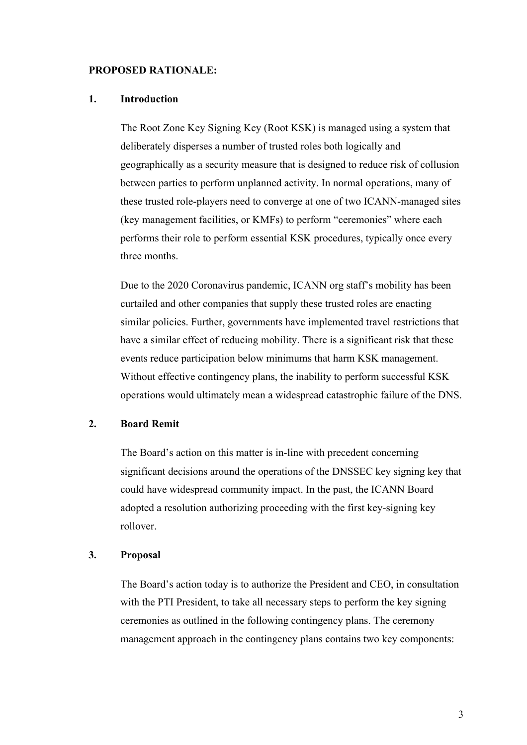### **PROPOSED RATIONALE:**

### **1. Introduction**

The Root Zone Key Signing Key (Root KSK) is managed using a system that deliberately disperses a number of trusted roles both logically and geographically as a security measure that is designed to reduce risk of collusion between parties to perform unplanned activity. In normal operations, many of these trusted role-players need to converge at one of two ICANN-managed sites (key management facilities, or KMFs) to perform "ceremonies" where each performs their role to perform essential KSK procedures, typically once every three months.

Due to the 2020 Coronavirus pandemic, ICANN org staff's mobility has been curtailed and other companies that supply these trusted roles are enacting similar policies. Further, governments have implemented travel restrictions that have a similar effect of reducing mobility. There is a significant risk that these events reduce participation below minimums that harm KSK management. Without effective contingency plans, the inability to perform successful KSK operations would ultimately mean a widespread catastrophic failure of the DNS.

## **2. Board Remit**

The Board's action on this matter is in-line with precedent concerning significant decisions around the operations of the DNSSEC key signing key that could have widespread community impact. In the past, the ICANN Board adopted a resolution authorizing proceeding with the first key-signing key rollover.

### **3. Proposal**

The Board's action today is to authorize the President and CEO, in consultation with the PTI President, to take all necessary steps to perform the key signing ceremonies as outlined in the following contingency plans. The ceremony management approach in the contingency plans contains two key components: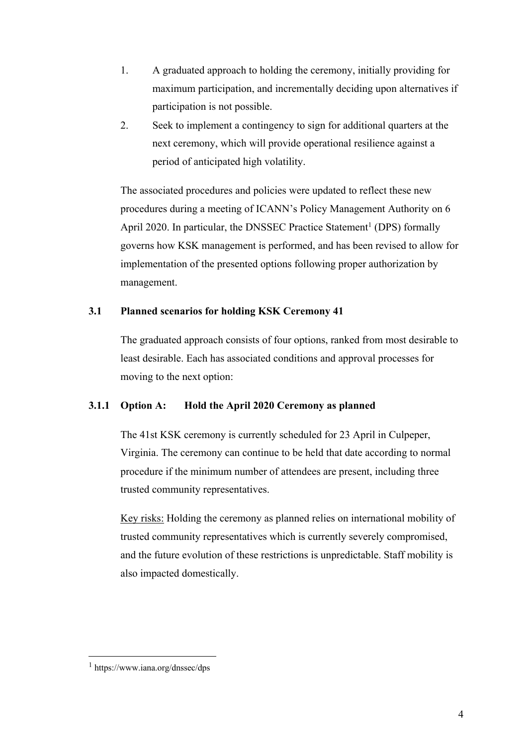- 1. A graduated approach to holding the ceremony, initially providing for maximum participation, and incrementally deciding upon alternatives if participation is not possible.
- 2. Seek to implement a contingency to sign for additional quarters at the next ceremony, which will provide operational resilience against a period of anticipated high volatility.

The associated procedures and policies were updated to reflect these new procedures during a meeting of ICANN's Policy Management Authority on 6 April 2020. In particular, the DNSSEC Practice Statement<sup>1</sup> (DPS) formally governs how KSK management is performed, and has been revised to allow for implementation of the presented options following proper authorization by management.

## **3.1 Planned scenarios for holding KSK Ceremony 41**

The graduated approach consists of four options, ranked from most desirable to least desirable. Each has associated conditions and approval processes for moving to the next option:

## **3.1.1 Option A: Hold the April 2020 Ceremony as planned**

The 41st KSK ceremony is currently scheduled for 23 April in Culpeper, Virginia. The ceremony can continue to be held that date according to normal procedure if the minimum number of attendees are present, including three trusted community representatives.

Key risks: Holding the ceremony as planned relies on international mobility of trusted community representatives which is currently severely compromised, and the future evolution of these restrictions is unpredictable. Staff mobility is also impacted domestically.

 $1$  https://www.iana.org/dnssec/dps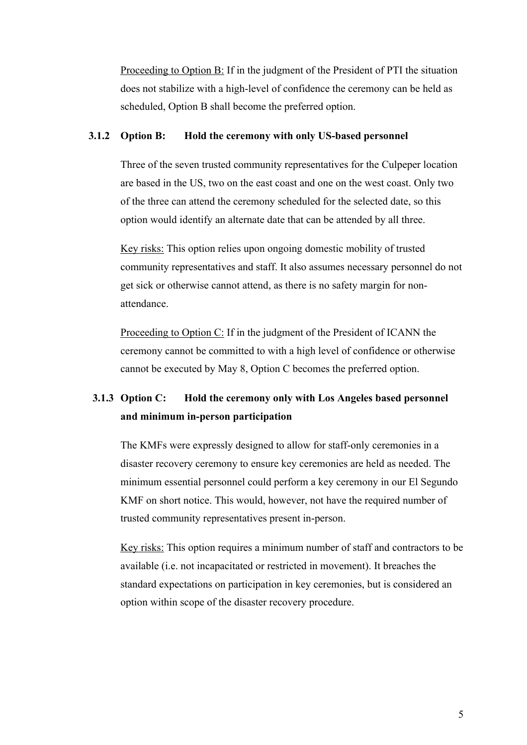Proceeding to Option B: If in the judgment of the President of PTI the situation does not stabilize with a high-level of confidence the ceremony can be held as scheduled, Option B shall become the preferred option.

### **3.1.2 Option B: Hold the ceremony with only US-based personnel**

Three of the seven trusted community representatives for the Culpeper location are based in the US, two on the east coast and one on the west coast. Only two of the three can attend the ceremony scheduled for the selected date, so this option would identify an alternate date that can be attended by all three.

Key risks: This option relies upon ongoing domestic mobility of trusted community representatives and staff. It also assumes necessary personnel do not get sick or otherwise cannot attend, as there is no safety margin for nonattendance.

Proceeding to Option C: If in the judgment of the President of ICANN the ceremony cannot be committed to with a high level of confidence or otherwise cannot be executed by May 8, Option C becomes the preferred option.

## **3.1.3 Option C: Hold the ceremony only with Los Angeles based personnel and minimum in-person participation**

The KMFs were expressly designed to allow for staff-only ceremonies in a disaster recovery ceremony to ensure key ceremonies are held as needed. The minimum essential personnel could perform a key ceremony in our El Segundo KMF on short notice. This would, however, not have the required number of trusted community representatives present in-person.

Key risks: This option requires a minimum number of staff and contractors to be available (i.e. not incapacitated or restricted in movement). It breaches the standard expectations on participation in key ceremonies, but is considered an option within scope of the disaster recovery procedure.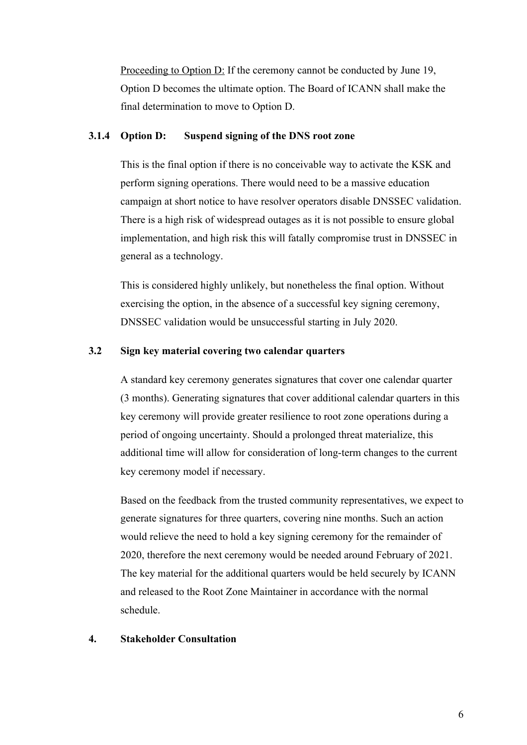Proceeding to Option D: If the ceremony cannot be conducted by June 19, Option D becomes the ultimate option. The Board of ICANN shall make the final determination to move to Option D.

### **3.1.4 Option D: Suspend signing of the DNS root zone**

This is the final option if there is no conceivable way to activate the KSK and perform signing operations. There would need to be a massive education campaign at short notice to have resolver operators disable DNSSEC validation. There is a high risk of widespread outages as it is not possible to ensure global implementation, and high risk this will fatally compromise trust in DNSSEC in general as a technology.

This is considered highly unlikely, but nonetheless the final option. Without exercising the option, in the absence of a successful key signing ceremony, DNSSEC validation would be unsuccessful starting in July 2020.

### **3.2 Sign key material covering two calendar quarters**

A standard key ceremony generates signatures that cover one calendar quarter (3 months). Generating signatures that cover additional calendar quarters in this key ceremony will provide greater resilience to root zone operations during a period of ongoing uncertainty. Should a prolonged threat materialize, this additional time will allow for consideration of long-term changes to the current key ceremony model if necessary.

Based on the feedback from the trusted community representatives, we expect to generate signatures for three quarters, covering nine months. Such an action would relieve the need to hold a key signing ceremony for the remainder of 2020, therefore the next ceremony would be needed around February of 2021. The key material for the additional quarters would be held securely by ICANN and released to the Root Zone Maintainer in accordance with the normal schedule.

### **4. Stakeholder Consultation**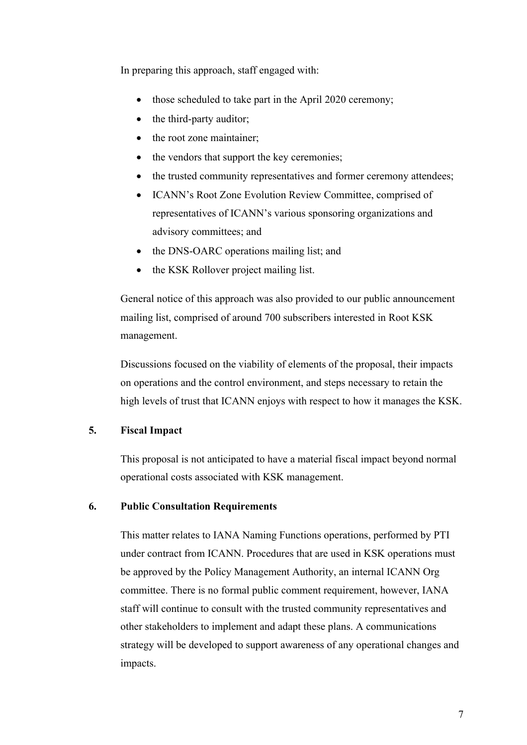In preparing this approach, staff engaged with:

- those scheduled to take part in the April 2020 ceremony;
- the third-party auditor;
- the root zone maintainer;
- the vendors that support the key ceremonies;
- the trusted community representatives and former ceremony attendees;
- ICANN's Root Zone Evolution Review Committee, comprised of representatives of ICANN's various sponsoring organizations and advisory committees; and
- the DNS-OARC operations mailing list; and
- the KSK Rollover project mailing list.

General notice of this approach was also provided to our public announcement mailing list, comprised of around 700 subscribers interested in Root KSK management.

Discussions focused on the viability of elements of the proposal, their impacts on operations and the control environment, and steps necessary to retain the high levels of trust that ICANN enjoys with respect to how it manages the KSK.

## **5. Fiscal Impact**

This proposal is not anticipated to have a material fiscal impact beyond normal operational costs associated with KSK management.

## **6. Public Consultation Requirements**

This matter relates to IANA Naming Functions operations, performed by PTI under contract from ICANN. Procedures that are used in KSK operations must be approved by the Policy Management Authority, an internal ICANN Org committee. There is no formal public comment requirement, however, IANA staff will continue to consult with the trusted community representatives and other stakeholders to implement and adapt these plans. A communications strategy will be developed to support awareness of any operational changes and impacts.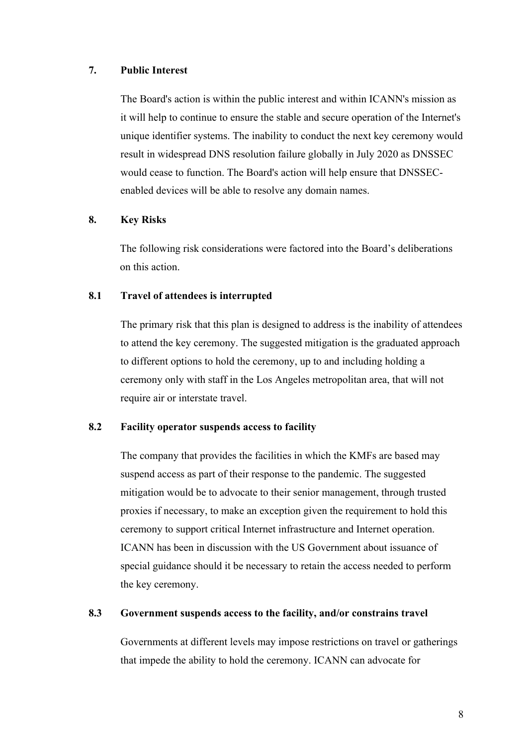### **7. Public Interest**

The Board's action is within the public interest and within ICANN's mission as it will help to continue to ensure the stable and secure operation of the Internet's unique identifier systems. The inability to conduct the next key ceremony would result in widespread DNS resolution failure globally in July 2020 as DNSSEC would cease to function. The Board's action will help ensure that DNSSECenabled devices will be able to resolve any domain names.

## **8. Key Risks**

The following risk considerations were factored into the Board's deliberations on this action.

## **8.1 Travel of attendees is interrupted**

The primary risk that this plan is designed to address is the inability of attendees to attend the key ceremony. The suggested mitigation is the graduated approach to different options to hold the ceremony, up to and including holding a ceremony only with staff in the Los Angeles metropolitan area, that will not require air or interstate travel.

## **8.2 Facility operator suspends access to facility**

The company that provides the facilities in which the KMFs are based may suspend access as part of their response to the pandemic. The suggested mitigation would be to advocate to their senior management, through trusted proxies if necessary, to make an exception given the requirement to hold this ceremony to support critical Internet infrastructure and Internet operation. ICANN has been in discussion with the US Government about issuance of special guidance should it be necessary to retain the access needed to perform the key ceremony.

### **8.3 Government suspends access to the facility, and/or constrains travel**

Governments at different levels may impose restrictions on travel or gatherings that impede the ability to hold the ceremony. ICANN can advocate for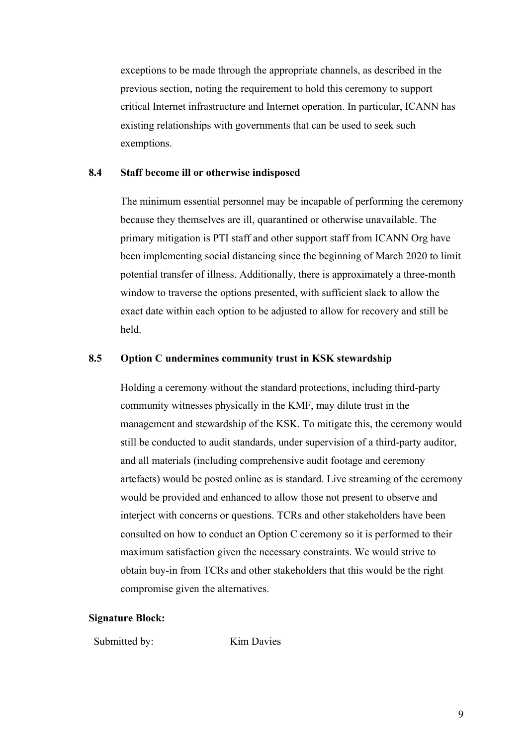exceptions to be made through the appropriate channels, as described in the previous section, noting the requirement to hold this ceremony to support critical Internet infrastructure and Internet operation. In particular, ICANN has existing relationships with governments that can be used to seek such exemptions.

### **8.4 Staff become ill or otherwise indisposed**

The minimum essential personnel may be incapable of performing the ceremony because they themselves are ill, quarantined or otherwise unavailable. The primary mitigation is PTI staff and other support staff from ICANN Org have been implementing social distancing since the beginning of March 2020 to limit potential transfer of illness. Additionally, there is approximately a three-month window to traverse the options presented, with sufficient slack to allow the exact date within each option to be adjusted to allow for recovery and still be held.

### **8.5 Option C undermines community trust in KSK stewardship**

Holding a ceremony without the standard protections, including third-party community witnesses physically in the KMF, may dilute trust in the management and stewardship of the KSK. To mitigate this, the ceremony would still be conducted to audit standards, under supervision of a third-party auditor, and all materials (including comprehensive audit footage and ceremony artefacts) would be posted online as is standard. Live streaming of the ceremony would be provided and enhanced to allow those not present to observe and interject with concerns or questions. TCRs and other stakeholders have been consulted on how to conduct an Option C ceremony so it is performed to their maximum satisfaction given the necessary constraints. We would strive to obtain buy-in from TCRs and other stakeholders that this would be the right compromise given the alternatives.

#### **Signature Block:**

Submitted by: Kim Davies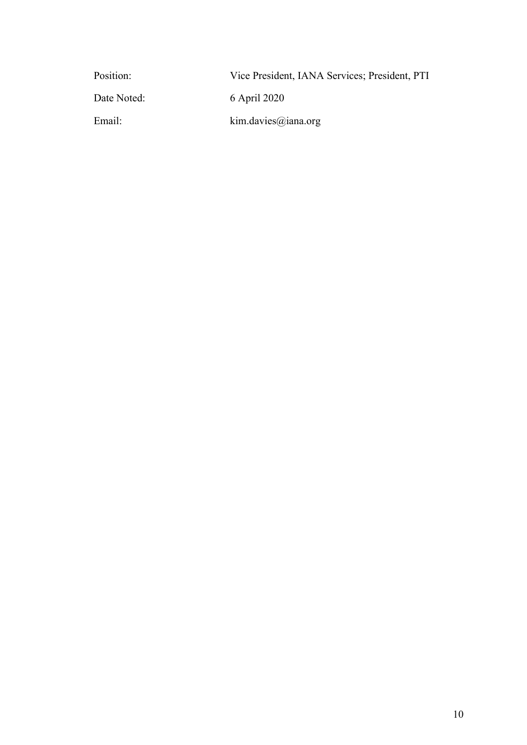| Position:   | Vice President, IANA Services; President, PTI |
|-------------|-----------------------------------------------|
| Date Noted: | 6 April 2020                                  |
| Email:      | kim.davies@iana.org                           |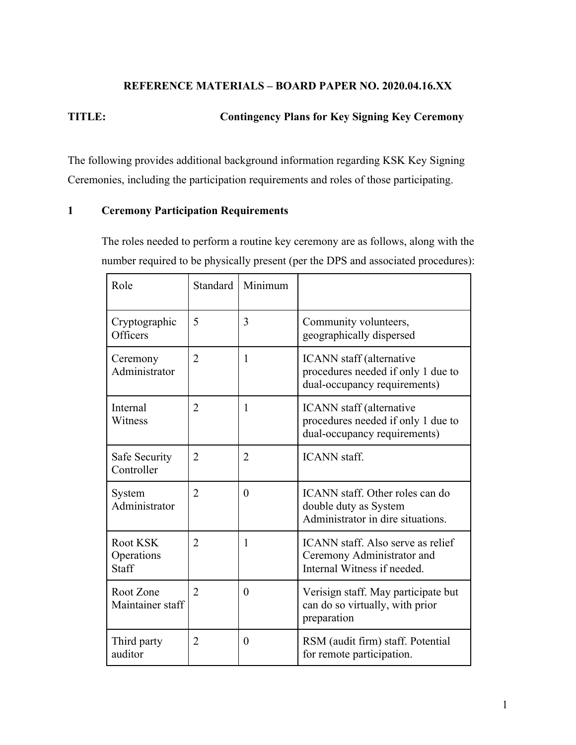## **REFERENCE MATERIALS – BOARD PAPER NO. 2020.04.16.XX**

## **TITLE: Contingency Plans for Key Signing Key Ceremony**

The following provides additional background information regarding KSK Key Signing Ceremonies, including the participation requirements and roles of those participating.

## **1 Ceremony Participation Requirements**

The roles needed to perform a routine key ceremony are as follows, along with the number required to be physically present (per the DPS and associated procedures):

| Role                                   | Standard       | Minimum        |                                                                                                |
|----------------------------------------|----------------|----------------|------------------------------------------------------------------------------------------------|
| Cryptographic<br>Officers              | 5              | 3              | Community volunteers,<br>geographically dispersed                                              |
| Ceremony<br>Administrator              | $\overline{2}$ | $\mathbf{1}$   | ICANN staff (alternative<br>procedures needed if only 1 due to<br>dual-occupancy requirements) |
| Internal<br>Witness                    | $\overline{2}$ | 1              | ICANN staff (alternative<br>procedures needed if only 1 due to<br>dual-occupancy requirements) |
| Safe Security<br>Controller            | $\overline{2}$ | $\overline{2}$ | <b>ICANN</b> staff.                                                                            |
| System<br>Administrator                | $\overline{2}$ | $\theta$       | ICANN staff. Other roles can do<br>double duty as System<br>Administrator in dire situations.  |
| Root KSK<br>Operations<br><b>Staff</b> | $\overline{2}$ | 1              | ICANN staff. Also serve as relief<br>Ceremony Administrator and<br>Internal Witness if needed. |
| Root Zone<br>Maintainer staff          | $\overline{2}$ | $\theta$       | Verisign staff. May participate but<br>can do so virtually, with prior<br>preparation          |
| Third party<br>auditor                 | $\overline{2}$ | $\theta$       | RSM (audit firm) staff. Potential<br>for remote participation.                                 |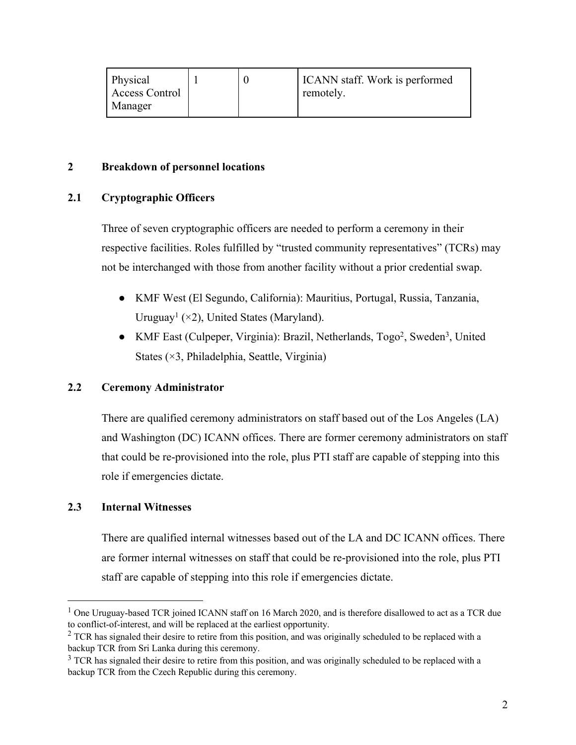| Physical       |  | ICANN staff. Work is performed |
|----------------|--|--------------------------------|
| Access Control |  | remotely.                      |
| Manager        |  |                                |

## **2 Breakdown of personnel locations**

## **2.1 Cryptographic Officers**

Three of seven cryptographic officers are needed to perform a ceremony in their respective facilities. Roles fulfilled by "trusted community representatives" (TCRs) may not be interchanged with those from another facility without a prior credential swap.

- KMF West (El Segundo, California): Mauritius, Portugal, Russia, Tanzania, Uruguay<sup>1</sup> ( $\times$ 2), United States (Maryland).
- KMF East (Culpeper, Virginia): Brazil, Netherlands, Togo<sup>2</sup>, Sweden<sup>3</sup>, United States (×3, Philadelphia, Seattle, Virginia)

## **2.2 Ceremony Administrator**

There are qualified ceremony administrators on staff based out of the Los Angeles (LA) and Washington (DC) ICANN offices. There are former ceremony administrators on staff that could be re-provisioned into the role, plus PTI staff are capable of stepping into this role if emergencies dictate.

## **2.3 Internal Witnesses**

There are qualified internal witnesses based out of the LA and DC ICANN offices. There are former internal witnesses on staff that could be re-provisioned into the role, plus PTI staff are capable of stepping into this role if emergencies dictate.

<sup>&</sup>lt;sup>1</sup> One Uruguay-based TCR joined ICANN staff on 16 March 2020, and is therefore disallowed to act as a TCR due to conflict-of-interest, and will be replaced at the earliest opportunity.

 $2$  TCR has signaled their desire to retire from this position, and was originally scheduled to be replaced with a backup TCR from Sri Lanka during this ceremony.

<sup>&</sup>lt;sup>3</sup> TCR has signaled their desire to retire from this position, and was originally scheduled to be replaced with a backup TCR from the Czech Republic during this ceremony.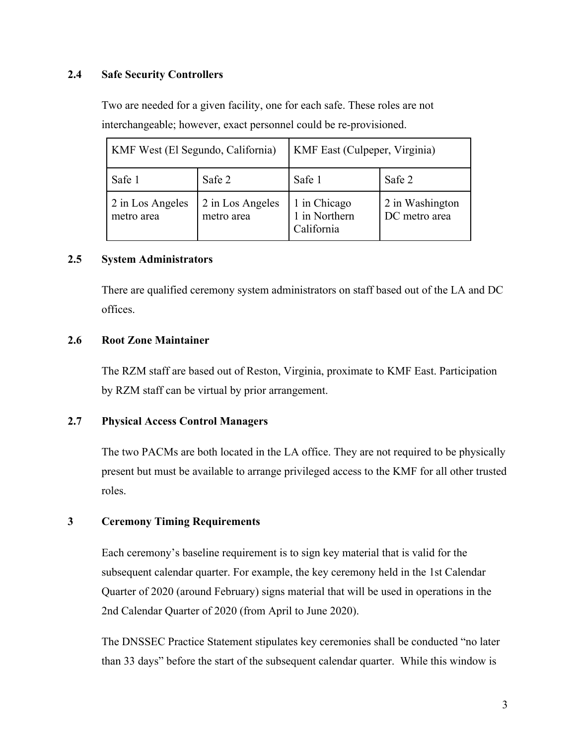## **2.4 Safe Security Controllers**

Two are needed for a given facility, one for each safe. These roles are not interchangeable; however, exact personnel could be re-provisioned.

| KMF West (El Segundo, California) |                                | <b>KMF</b> East (Culpeper, Virginia)        |                                  |
|-----------------------------------|--------------------------------|---------------------------------------------|----------------------------------|
| Safe 1                            | Safe 2                         | Safe 1                                      | Safe 2                           |
| 2 in Los Angeles<br>metro area    | 2 in Los Angeles<br>metro area | 1 in Chicago<br>1 in Northern<br>California | 2 in Washington<br>DC metro area |

### **2.5 System Administrators**

There are qualified ceremony system administrators on staff based out of the LA and DC offices.

### **2.6 Root Zone Maintainer**

The RZM staff are based out of Reston, Virginia, proximate to KMF East. Participation by RZM staff can be virtual by prior arrangement.

### **2.7 Physical Access Control Managers**

The two PACMs are both located in the LA office. They are not required to be physically present but must be available to arrange privileged access to the KMF for all other trusted roles.

### **3 Ceremony Timing Requirements**

Each ceremony's baseline requirement is to sign key material that is valid for the subsequent calendar quarter. For example, the key ceremony held in the 1st Calendar Quarter of 2020 (around February) signs material that will be used in operations in the 2nd Calendar Quarter of 2020 (from April to June 2020).

The DNSSEC Practice Statement stipulates key ceremonies shall be conducted "no later than 33 days" before the start of the subsequent calendar quarter. While this window is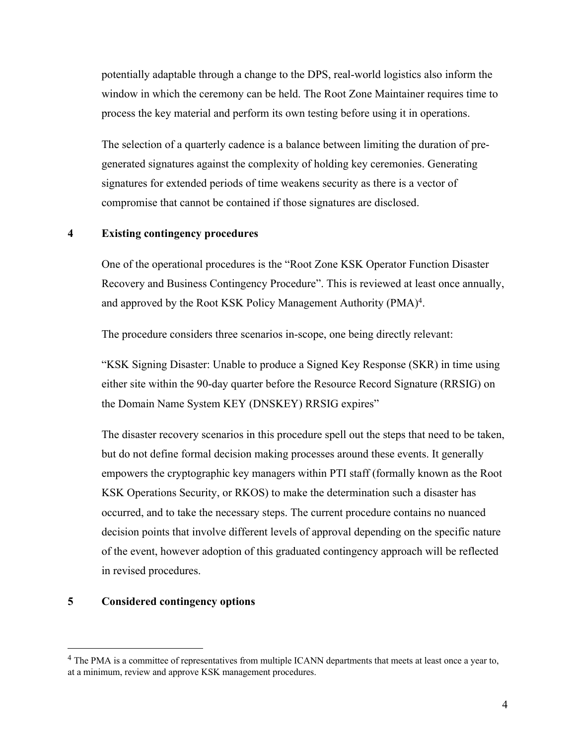potentially adaptable through a change to the DPS, real-world logistics also inform the window in which the ceremony can be held. The Root Zone Maintainer requires time to process the key material and perform its own testing before using it in operations.

The selection of a quarterly cadence is a balance between limiting the duration of pregenerated signatures against the complexity of holding key ceremonies. Generating signatures for extended periods of time weakens security as there is a vector of compromise that cannot be contained if those signatures are disclosed.

## **4 Existing contingency procedures**

One of the operational procedures is the "Root Zone KSK Operator Function Disaster Recovery and Business Contingency Procedure". This is reviewed at least once annually, and approved by the Root KSK Policy Management Authority (PMA)<sup>4</sup>.

The procedure considers three scenarios in-scope, one being directly relevant:

"KSK Signing Disaster: Unable to produce a Signed Key Response (SKR) in time using either site within the 90-day quarter before the Resource Record Signature (RRSIG) on the Domain Name System KEY (DNSKEY) RRSIG expires"

The disaster recovery scenarios in this procedure spell out the steps that need to be taken, but do not define formal decision making processes around these events. It generally empowers the cryptographic key managers within PTI staff (formally known as the Root KSK Operations Security, or RKOS) to make the determination such a disaster has occurred, and to take the necessary steps. The current procedure contains no nuanced decision points that involve different levels of approval depending on the specific nature of the event, however adoption of this graduated contingency approach will be reflected in revised procedures.

### **5 Considered contingency options**

<sup>&</sup>lt;sup>4</sup> The PMA is a committee of representatives from multiple ICANN departments that meets at least once a year to, at a minimum, review and approve KSK management procedures.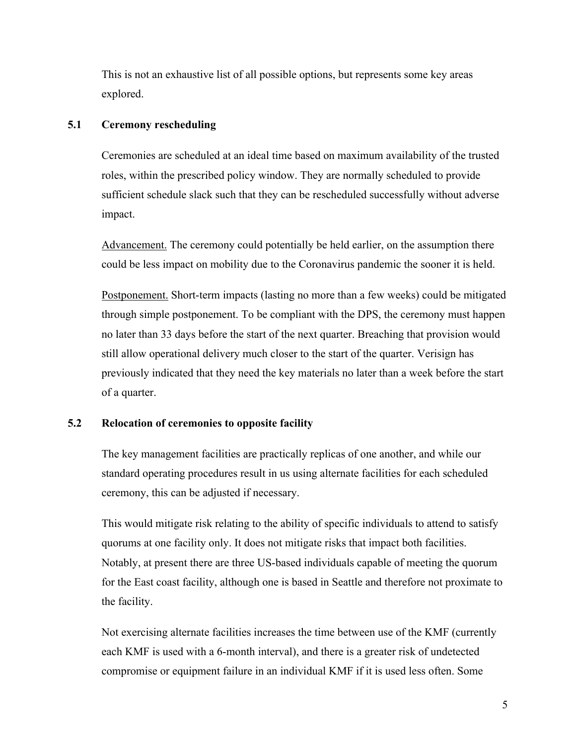This is not an exhaustive list of all possible options, but represents some key areas explored.

### **5.1 Ceremony rescheduling**

Ceremonies are scheduled at an ideal time based on maximum availability of the trusted roles, within the prescribed policy window. They are normally scheduled to provide sufficient schedule slack such that they can be rescheduled successfully without adverse impact.

Advancement. The ceremony could potentially be held earlier, on the assumption there could be less impact on mobility due to the Coronavirus pandemic the sooner it is held.

Postponement. Short-term impacts (lasting no more than a few weeks) could be mitigated through simple postponement. To be compliant with the DPS, the ceremony must happen no later than 33 days before the start of the next quarter. Breaching that provision would still allow operational delivery much closer to the start of the quarter. Verisign has previously indicated that they need the key materials no later than a week before the start of a quarter.

## **5.2 Relocation of ceremonies to opposite facility**

The key management facilities are practically replicas of one another, and while our standard operating procedures result in us using alternate facilities for each scheduled ceremony, this can be adjusted if necessary.

This would mitigate risk relating to the ability of specific individuals to attend to satisfy quorums at one facility only. It does not mitigate risks that impact both facilities. Notably, at present there are three US-based individuals capable of meeting the quorum for the East coast facility, although one is based in Seattle and therefore not proximate to the facility.

Not exercising alternate facilities increases the time between use of the KMF (currently each KMF is used with a 6-month interval), and there is a greater risk of undetected compromise or equipment failure in an individual KMF if it is used less often. Some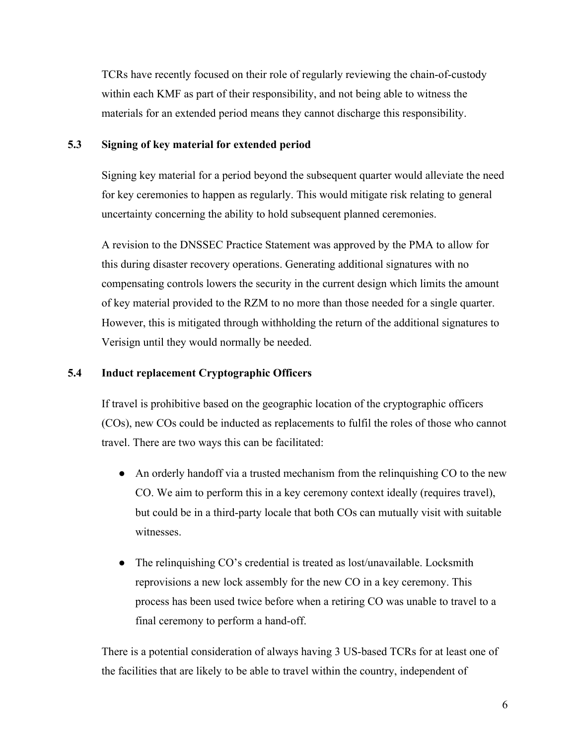TCRs have recently focused on their role of regularly reviewing the chain-of-custody within each KMF as part of their responsibility, and not being able to witness the materials for an extended period means they cannot discharge this responsibility.

## **5.3 Signing of key material for extended period**

Signing key material for a period beyond the subsequent quarter would alleviate the need for key ceremonies to happen as regularly. This would mitigate risk relating to general uncertainty concerning the ability to hold subsequent planned ceremonies.

A revision to the DNSSEC Practice Statement was approved by the PMA to allow for this during disaster recovery operations. Generating additional signatures with no compensating controls lowers the security in the current design which limits the amount of key material provided to the RZM to no more than those needed for a single quarter. However, this is mitigated through withholding the return of the additional signatures to Verisign until they would normally be needed.

## **5.4 Induct replacement Cryptographic Officers**

If travel is prohibitive based on the geographic location of the cryptographic officers (COs), new COs could be inducted as replacements to fulfil the roles of those who cannot travel. There are two ways this can be facilitated:

- An orderly handoff via a trusted mechanism from the relinquishing CO to the new CO. We aim to perform this in a key ceremony context ideally (requires travel), but could be in a third-party locale that both COs can mutually visit with suitable witnesses.
- The relinquishing CO's credential is treated as lost/unavailable. Locksmith reprovisions a new lock assembly for the new CO in a key ceremony. This process has been used twice before when a retiring CO was unable to travel to a final ceremony to perform a hand-off.

There is a potential consideration of always having 3 US-based TCRs for at least one of the facilities that are likely to be able to travel within the country, independent of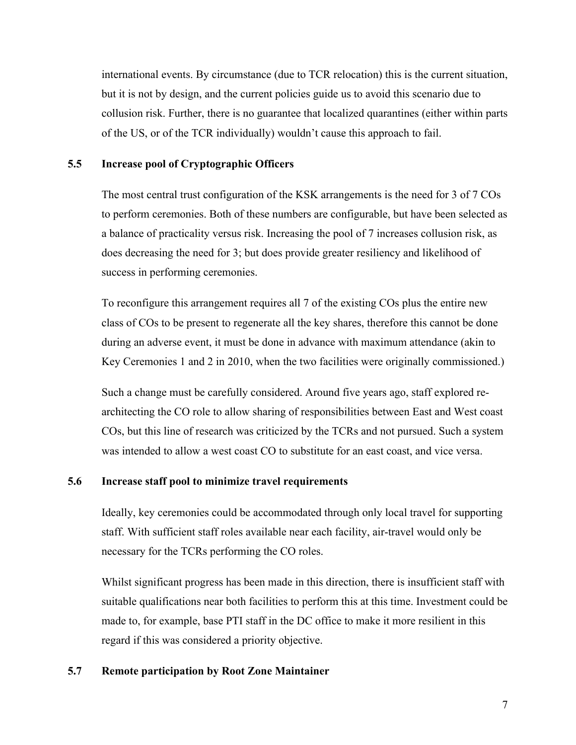international events. By circumstance (due to TCR relocation) this is the current situation, but it is not by design, and the current policies guide us to avoid this scenario due to collusion risk. Further, there is no guarantee that localized quarantines (either within parts of the US, or of the TCR individually) wouldn't cause this approach to fail.

### **5.5 Increase pool of Cryptographic Officers**

The most central trust configuration of the KSK arrangements is the need for 3 of 7 COs to perform ceremonies. Both of these numbers are configurable, but have been selected as a balance of practicality versus risk. Increasing the pool of 7 increases collusion risk, as does decreasing the need for 3; but does provide greater resiliency and likelihood of success in performing ceremonies.

To reconfigure this arrangement requires all 7 of the existing COs plus the entire new class of COs to be present to regenerate all the key shares, therefore this cannot be done during an adverse event, it must be done in advance with maximum attendance (akin to Key Ceremonies 1 and 2 in 2010, when the two facilities were originally commissioned.)

Such a change must be carefully considered. Around five years ago, staff explored rearchitecting the CO role to allow sharing of responsibilities between East and West coast COs, but this line of research was criticized by the TCRs and not pursued. Such a system was intended to allow a west coast CO to substitute for an east coast, and vice versa.

### **5.6 Increase staff pool to minimize travel requirements**

Ideally, key ceremonies could be accommodated through only local travel for supporting staff. With sufficient staff roles available near each facility, air-travel would only be necessary for the TCRs performing the CO roles.

Whilst significant progress has been made in this direction, there is insufficient staff with suitable qualifications near both facilities to perform this at this time. Investment could be made to, for example, base PTI staff in the DC office to make it more resilient in this regard if this was considered a priority objective.

## **5.7 Remote participation by Root Zone Maintainer**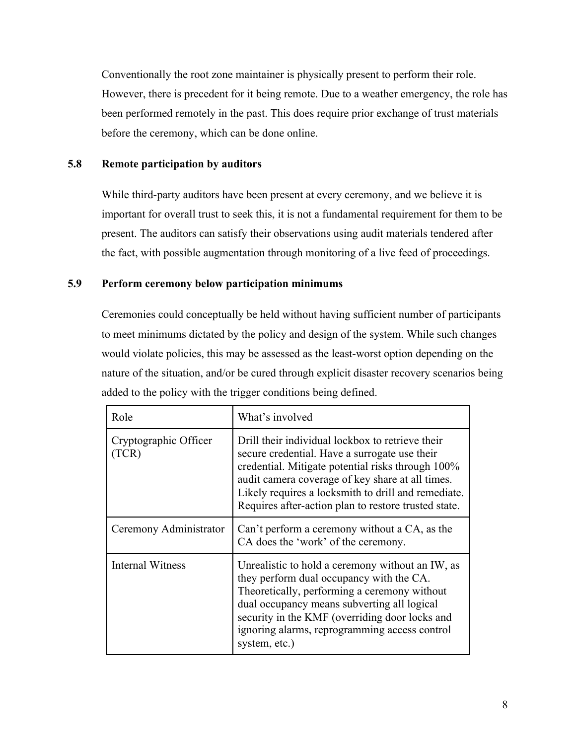Conventionally the root zone maintainer is physically present to perform their role. However, there is precedent for it being remote. Due to a weather emergency, the role has been performed remotely in the past. This does require prior exchange of trust materials before the ceremony, which can be done online.

## **5.8 Remote participation by auditors**

While third-party auditors have been present at every ceremony, and we believe it is important for overall trust to seek this, it is not a fundamental requirement for them to be present. The auditors can satisfy their observations using audit materials tendered after the fact, with possible augmentation through monitoring of a live feed of proceedings.

## **5.9 Perform ceremony below participation minimums**

Ceremonies could conceptually be held without having sufficient number of participants to meet minimums dictated by the policy and design of the system. While such changes would violate policies, this may be assessed as the least-worst option depending on the nature of the situation, and/or be cured through explicit disaster recovery scenarios being added to the policy with the trigger conditions being defined.

| Role                           | What's involved                                                                                                                                                                                                                                                                                                           |
|--------------------------------|---------------------------------------------------------------------------------------------------------------------------------------------------------------------------------------------------------------------------------------------------------------------------------------------------------------------------|
| Cryptographic Officer<br>(TCR) | Drill their individual lockbox to retrieve their<br>secure credential. Have a surrogate use their<br>credential. Mitigate potential risks through 100%<br>audit camera coverage of key share at all times.<br>Likely requires a locksmith to drill and remediate.<br>Requires after-action plan to restore trusted state. |
| Ceremony Administrator         | Can't perform a ceremony without a CA, as the<br>CA does the 'work' of the ceremony.                                                                                                                                                                                                                                      |
| <b>Internal Witness</b>        | Unrealistic to hold a ceremony without an IW, as<br>they perform dual occupancy with the CA.<br>Theoretically, performing a ceremony without<br>dual occupancy means subverting all logical<br>security in the KMF (overriding door locks and<br>ignoring alarms, reprogramming access control<br>system, etc.)           |